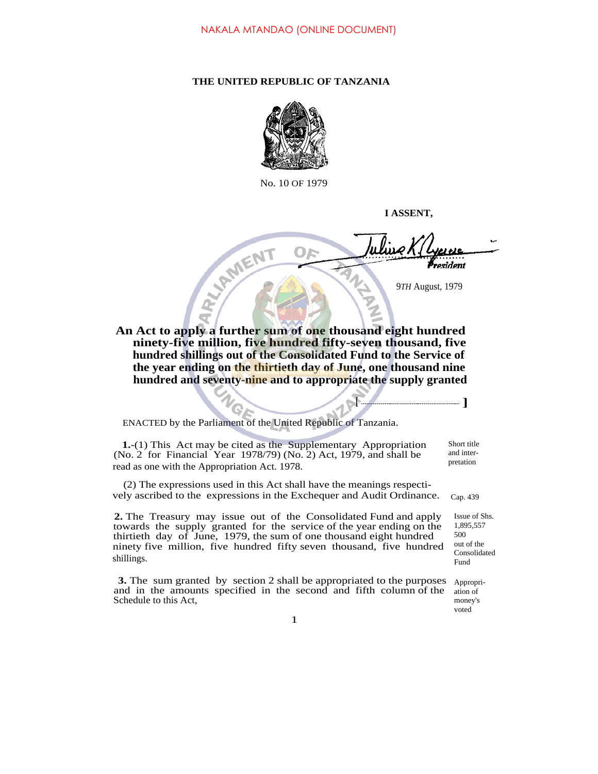## **THE UNITED REPUBLIC OF TANZANIA**



No. 10 OF 1979

**I ASSENT,**

**[ ]**

resident

9*TH* August*,* 1979

**An Act to apply a further sum of one thousand eight hundred ninety-five million, five hundred fifty-seven thousand, five hundred shillings out of the Consolidated Fund to the Service of the year ending on the thirtieth day of June, one thousand nine hundred and seventy-nine and to appropriate the supply granted**

ENACTED by the Parliament of the United Republic of Tanzania.

**1.**-(1) This Act may be cited as the Supplementary Appropriation (No. 2 for Financial Year 1978/79) (No. 2) Act, 1979, and shall be read as one with the Appropriation Act. 1978.

(2) The expressions used in this Act shall have the meanings respectively ascribed to the expressions in the Exchequer and Audit Ordinance.

**2.** The Treasury may issue out of the Consolidated Fund and apply towards the supply granted for the service of the year ending on the thirtieth day of June, 1979, the sum of one thousand eight hundred ninety five million, five hundred fifty seven thousand, five hundred shillings.

**3.** The sum granted by section 2 shall be appropriated to the purposes and in the amounts specified in the second and fifth column of the Schedule to this Act,

Short title and interpretation

Cap. 439

Issue of Shs. 1,895,557 500 out of the Consolidated Fund

Appropriation of money's voted

1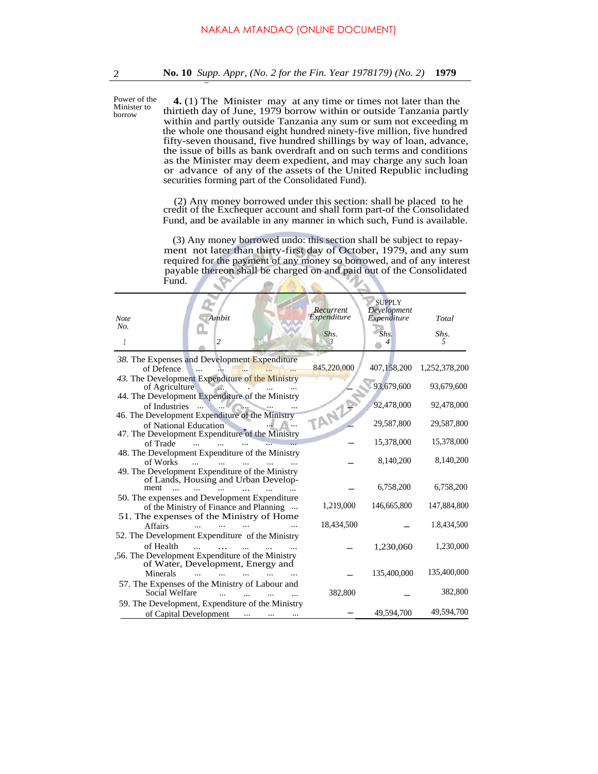Power of the **4.** (1) The Minister may at any time or times not later than the thirtieth day of June, 1979 borrow within or outside Tanzania partly within and partly outside Tanzania any sum or sum not exceeding m the whole one thousand eight hundred ninety-five million, five hundred fifty-seven thousand, five hundred shillings by way of loan, advance, the issue of bills as bank overdraft and on such terms and conditions as the Minister may deem expedient, and may charge any such loan or advance of any of the assets of the United Republic including securities forming part of the Consolidated Fund). Minister to

> (2) Any money borrowed under this section: shall be placed to he credit of the Exchequer account and shall form part-of the Consolidated Fund, and be available in any manner in which such, Fund is available.

> (3) Any money borrowed undo: this section shall be subject to repayment not later than thirty-first day of October, 1979, and any sum required for the payment of any money so borrowed, and of any interest payable thereon shall be charged on and paid out of the Consolidated Fund.  $\mathcal{L}$  $\mathbb{Z}$  $\mathcal{L}$

| Ambit<br><b>Note</b><br>No.                                              | Recurrent<br>Expenditure | <b>SUPPLY</b><br>Development<br>Expenditure | Total         |  |
|--------------------------------------------------------------------------|--------------------------|---------------------------------------------|---------------|--|
| 2<br>1                                                                   | Shs.<br>$\mathbf{3}$     | Shs.<br>4                                   | Shs.<br>5     |  |
| 38. The Expenses and Development Expenditure                             |                          |                                             |               |  |
| of Defence                                                               | 845,220,000              | 407,158,200                                 | 1,252,378,200 |  |
| 43. The Development Expenditure of the Ministry<br>of Agriculture        |                          | 93,679,600                                  | 93,679,600    |  |
| 44. The Development Expenditure of the Ministry                          |                          |                                             |               |  |
| of Industries                                                            |                          | 92,478,000                                  | 92,478,000    |  |
| 46. The Development Expenditure of the Ministry<br>of National Education | TANZA                    | 29,587,800                                  | 29,587,800    |  |
| 47. The Development Expenditure of the Ministry                          |                          |                                             |               |  |
| of Trade                                                                 |                          | 15,378,000                                  | 15,378,000    |  |
| 48. The Development Expenditure of the Ministry                          |                          |                                             |               |  |
| of Works<br>$\mathbf{r}$                                                 |                          | 8,140,200                                   | 8,140,200     |  |
| 49. The Development Expenditure of the Ministry                          |                          |                                             |               |  |
| of Lands, Housing and Urban Develop-                                     |                          |                                             |               |  |
| ment                                                                     |                          | 6,758,200                                   | 6,758,200     |  |
| 50. The expenses and Development Expenditure                             |                          |                                             |               |  |
| of the Ministry of Finance and Planning                                  | 1,219,000                | 146,665,800                                 | 147,884,800   |  |
| 51. The expenses of the Ministry of Home                                 |                          |                                             |               |  |
| <b>Affairs</b>                                                           | 18,434,500               |                                             | 1.8,434,500   |  |
| 52. The Development Expenditure of the Ministry                          |                          |                                             |               |  |
| of Health                                                                |                          | 1,230,060                                   | 1,230,000     |  |
| 56. The Development Expenditure of the Ministry                          |                          |                                             |               |  |
| of Water, Development, Energy and                                        |                          |                                             |               |  |
| Minerals                                                                 |                          | 135,400,000                                 | 135,400,000   |  |
| 57. The Expenses of the Ministry of Labour and                           |                          |                                             |               |  |
| Social Welfare                                                           | 382,800                  |                                             | 382,800       |  |
|                                                                          |                          |                                             |               |  |
| 59. The Development, Expenditure of the Ministry                         |                          | 49,594,700                                  | 49,594,700    |  |
| of Capital Development                                                   |                          |                                             |               |  |

borrow

...